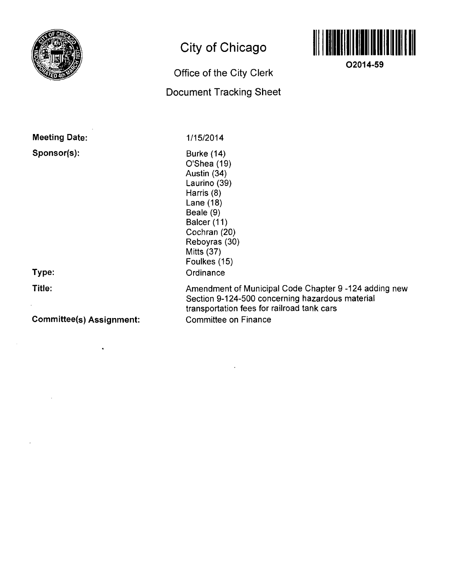

# **City of Chicago**

## **Office of the City Clerk Document Tracking Sheet**



**02014-59** 

**Meeting Date:** 

**Sponsor(s):** 

**Type:** 

**Title:** 

**Committee(s) Assignment:** 

1/15/2014

Burke (14) O'Shea (19) Austin (34) Laurino (39) Harris (8) Lane (18) Beale (9) Balcer (11) Cochran (20) Reboyras (30) Mitts (37) Foulkes (15) **Ordinance** 

Amendment of Municipal Code Chapter 9 -124 adding new Section 9-124-500 concerning hazardous material transportation fees for railroad tank cars Committee on Finance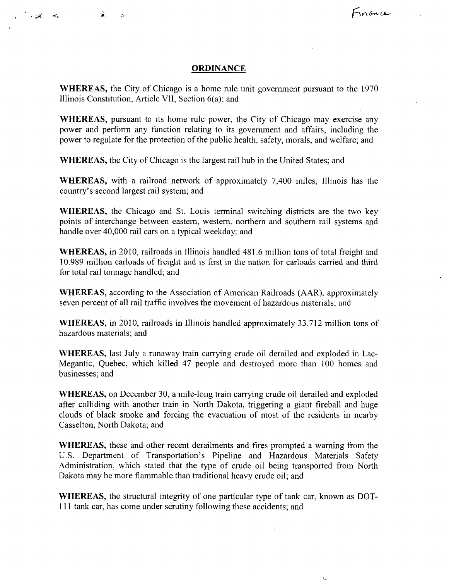#### **ORDINANCE**

 $\mathcal{A}$  .

Finance

WHEREAS, the City of Chicago is a home rule unit government pursuant to the 1970 Illinois Constitution, Article VII, Section 6(a); and

WHEREAS, pursuant to its home rule power, the City of Chicago may exercise any power and perform any function relating to its govemment and affairs, including the power to regulate for the protection of the public health, safety, morals, and welfare; and

WHEREAS, the City of Chicago is the largest rail hub in the United States; and

WHEREAS, with a railroad network of approximately 7,400 miles, Illinois has the country's second largest rail system; and

WHEREAS, the Chicago and St. Louis terminal switching districts are the two key points of interchange between eastern, western, northern and southern rail systems and handle over 40,000 rail cars on a typical weekday; and

WHEREAS, in 2010, railroads in Illinois handled 481.6 million tons of total freight and 10.989 million carloads of freight and is first in the nation for carloads carried and third for total rail tonnage handled; and

WHEREAS, according to the Association of American Railroads (AAR), approximately seven percent of all rail traffic involves the movement of hazardous materials; and

WHEREAS, in 2010, railroads in Illinois handled approximately 33.712 million tons of hazardous materials; and

WHEREAS, last July a runaway train carrying crude oil derailed and exploded in Lac-Megantic, Quebec, which killed 47 people and destroyed more than 100 homes and businesses; and

WHEREAS, on December 30, a mile-long train carrying crude oil derailed and exploded after colliding with another train in North Dakota, triggering a giant fireball and huge clouds of black smoke and forcing the evacuation of most of the residents in nearby Casselton, North Dakota; and

WHEREAS, these and other recent derailments and fires prompted a warning from the U.S. Department of Transportation's Pipeline and Hazardous Materials Safety Administration, which stated that the type of crude oil being transported from North Dakota may be more flammable than traditional heavy crude oil; and

WHEREAS, the structural integrity of one particular type of tank car, known as DOT-111 tank car, has come under scrutiny following these accidents; and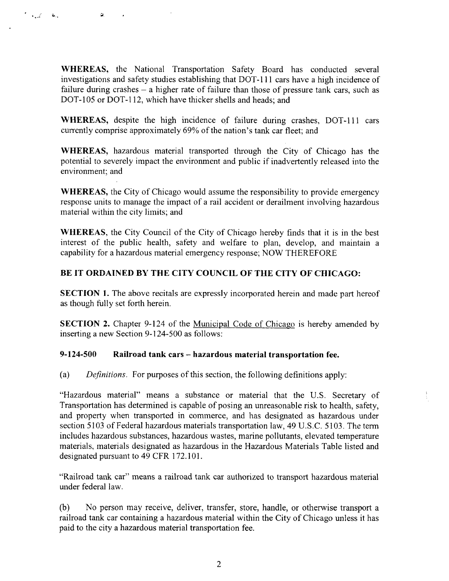WHEREAS, the National Transportation Safety Board has conducted several investigations and safety studies establishing that DOT-111 cars have a high incidence of failure during crashes - a higher rate of failure than those of pressure tank cars, such as DOT-105 or DOT-112, which have thicker shells and heads; and

اللغان مميتان

G.

WHEREAS, despite the high incidence of failure during crashes, DOT-111 cars currently comprise approximately 69% of the nation's tank car fleet; and

WHEREAS, hazardous material transported through the City of Chicago has the potential to severely impact the environment and public if inadvertently released into the environment; and

WHEREAS, the City of Chicago would assume the responsibility to provide emergency response units to manage the impact of a rail accident or derailment involving hazardous material within the city limits; and

WHEREAS, the City Council of the City of Chicago hereby finds that it is in the best interest of the public health, safety and welfare to plan, develop, and maintain a capability for a hazardous material emergency response; NOW THEREFORE

### **BE IT ORDAINED BY THE CITY COUNCIL OF THE CITY OF CHICAGO:**

SECTION 1. The above recitals are expressly incorporated herein and made part hereof as though fully set forth herein.

SECTION 2. Chapter 9-124 of the Municipal Code of Chicago is hereby amended by inserting a new Section 9-124-500 as follows:

#### **9-124-500 Railroad tank cars - hazardous material transportation fee.**

(a) Defmitions. For purposes of this section, the following definitions apply:

"Hazardous material" means a substance or material that the U.S. Secretary of Transportation has detennined is capable of posing an unreasonable risk to health, safety, and property when transported in commerce, and has designated as hazardous under section 5103 of Federal hazardous materials transportation law, 49 U.S.C. 5103. The term includes hazardous substances, hazardous wastes, marine pollutants, elevated temperature materials, materials designated as hazardous in the Hazardous Materials Table listed and designated pursuant to 49 CFR 172.101.

"Railroad tank car" means a railroad tank car authorized to transport hazardous material under federal law.

(b) No person may receive, deliver, transfer, store, handle, or otherwise transport a railroad tank car containing a hazardous material within the City of Chicago unless it has paid to the city a hazardous material transportation fee.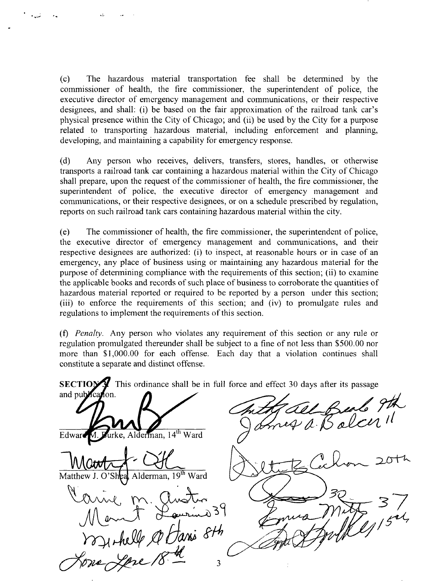(c) The hazardous material transportafion fee shall be detennined by the commissioner of health, the fire commissioner, the superintendent of police, the executive director of emergency management and communications, or their respective designees, and shall: (i) be based on the fair approximation of the railroad tank car's physical presence within the City of Chicago; and (ii) be used by the City for a purpose related to transporting hazardous material, including enforcement and planning, developing, and maintaining a capability for emergency response.

(d) Any person who receives, delivers, transfers, stores, handles, or otherwise transports a railroad tank car containing a hazardous material within the City of Chicago shall prepare, upon the request of the commissioner of health, the fire commissioner, the superintendent of police, the executive director of emergency management and communications, or their respective designees, or on a schedule prescribed by regulation, reports on such railroad tank cars containing hazardous material within the city.

(e) The commissioner of health, the fire commissioner, the superintendent of police, the executive director of emergency management and communications, and their respective designees are authorized: (i) to inspect, at reasonable hours or in case of an emergency, any place of business using or maintaining any hazardous material for the purpose of detennining compliance with the requirements of this section; (ii) to examine the applicable books and records of such place of business to corroborate the quantities of hazardous material reported or required to be reported by a person under this section; (iii) to enforce the requirements of this section; and (iv) to promulgate rules and regulations to implement the requirements of this section.

(f) Penalty. Any person who violates any requirement of this section or any rule or regulation promulgated thereunder shall be subject to a fine of not less than \$500.00 nor more than \$1,000.00 for each offense. Each day that a violation continues shall constitute a separate and distinct offense.

**SECTIOV This ordinance shall be in full force and effect 30 days after its passage** and publical fon. urke, Alderman, 14<sup>th</sup> Ward Edward Matthew J. O'Sheal Alderman, 19<sup>th</sup> Ward **- 3 7** o Hani 8th  $\overline{3}$